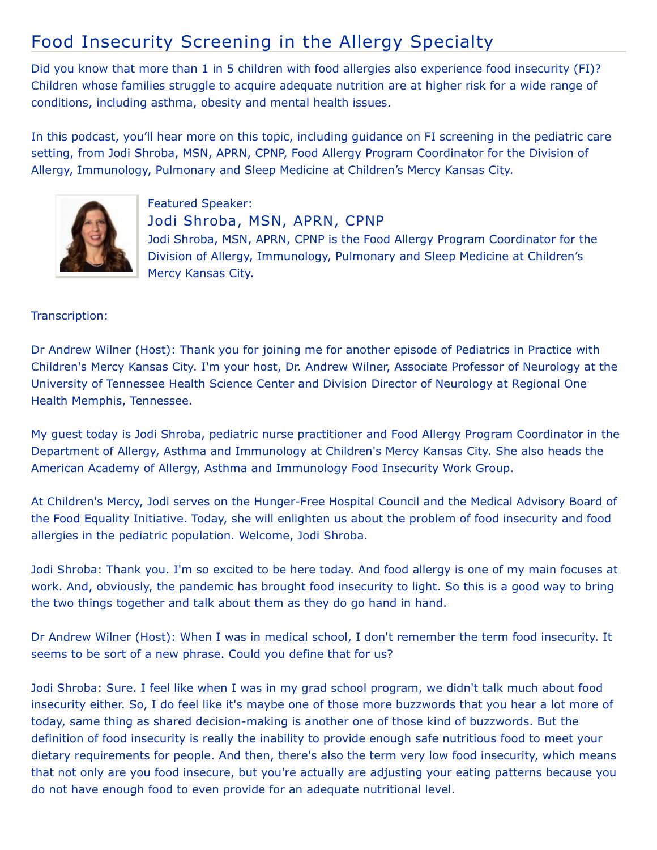## Food Insecurity Screening in the Allergy Specialty

Did you know that more than 1 in 5 children with food allergies also experience food insecurity (FI)? Children whose families struggle to acquire adequate nutrition are at higher risk for a wide range of conditions, including asthma, obesity and mental health issues.

In this podcast, you'll hear more on this topic, including guidance on FI screening in the pediatric care setting, from Jodi Shroba, MSN, APRN, CPNP, Food Allergy Program Coordinator for the Division of Allergy, Immunology, Pulmonary and Sleep Medicine at Children's Mercy Kansas City.



Featured Speaker: Jodi Shroba, MSN, APRN, CPNP Jodi Shroba, MSN, APRN, CPNP is the Food Allergy Program Coordinator for the Division of Allergy, Immunology, Pulmonary and Sleep Medicine at Children's Mercy Kansas City.

## Transcription:

Dr Andrew Wilner (Host): Thank you for joining me for another episode of Pediatrics in Practice with Children's Mercy Kansas City. I'm your host, Dr. Andrew Wilner, Associate Professor of Neurology at the University of Tennessee Health Science Center and Division Director of Neurology at Regional One Health Memphis, Tennessee.

My guest today is Jodi Shroba, pediatric nurse practitioner and Food Allergy Program Coordinator in the Department of Allergy, Asthma and Immunology at Children's Mercy Kansas City. She also heads the American Academy of Allergy, Asthma and Immunology Food Insecurity Work Group.

At Children's Mercy, Jodi serves on the Hunger-Free Hospital Council and the Medical Advisory Board of the Food Equality Initiative. Today, she will enlighten us about the problem of food insecurity and food allergies in the pediatric population. Welcome, Jodi Shroba.

Jodi Shroba: Thank you. I'm so excited to be here today. And food allergy is one of my main focuses at work. And, obviously, the pandemic has brought food insecurity to light. So this is a good way to bring the two things together and talk about them as they do go hand in hand.

Dr Andrew Wilner (Host): When I was in medical school, I don't remember the term food insecurity. It seems to be sort of a new phrase. Could you define that for us?

Jodi Shroba: Sure. I feel like when I was in my grad school program, we didn't talk much about food insecurity either. So, I do feel like it's maybe one of those more buzzwords that you hear a lot more of today, same thing as shared decision-making is another one of those kind of buzzwords. But the definition of food insecurity is really the inability to provide enough safe nutritious food to meet your dietary requirements for people. And then, there's also the term very low food insecurity, which means that not only are you food insecure, but you're actually are adjusting your eating patterns because you do not have enough food to even provide for an adequate nutritional level.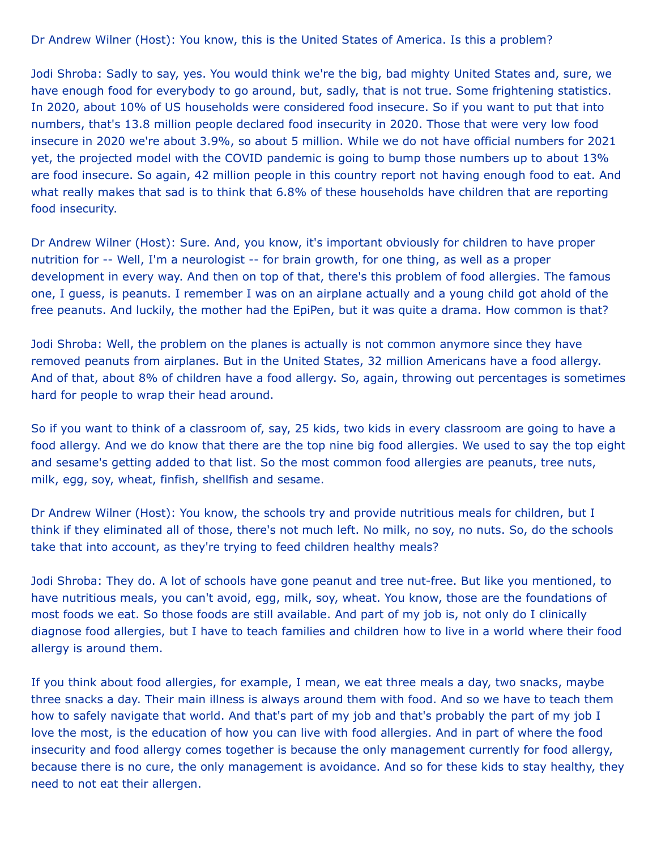Dr Andrew Wilner (Host): You know, this is the United States of America. Is this a problem?

Jodi Shroba: Sadly to say, yes. You would think we're the big, bad mighty United States and, sure, we have enough food for everybody to go around, but, sadly, that is not true. Some frightening statistics. In 2020, about 10% of US households were considered food insecure. So if you want to put that into numbers, that's 13.8 million people declared food insecurity in 2020. Those that were very low food insecure in 2020 we're about 3.9%, so about 5 million. While we do not have official numbers for 2021 yet, the projected model with the COVID pandemic is going to bump those numbers up to about 13% are food insecure. So again, 42 million people in this country report not having enough food to eat. And what really makes that sad is to think that 6.8% of these households have children that are reporting food insecurity.

Dr Andrew Wilner (Host): Sure. And, you know, it's important obviously for children to have proper nutrition for -- Well, I'm a neurologist -- for brain growth, for one thing, as well as a proper development in every way. And then on top of that, there's this problem of food allergies. The famous one, I guess, is peanuts. I remember I was on an airplane actually and a young child got ahold of the free peanuts. And luckily, the mother had the EpiPen, but it was quite a drama. How common is that?

Jodi Shroba: Well, the problem on the planes is actually is not common anymore since they have removed peanuts from airplanes. But in the United States, 32 million Americans have a food allergy. And of that, about 8% of children have a food allergy. So, again, throwing out percentages is sometimes hard for people to wrap their head around.

So if you want to think of a classroom of, say, 25 kids, two kids in every classroom are going to have a food allergy. And we do know that there are the top nine big food allergies. We used to say the top eight and sesame's getting added to that list. So the most common food allergies are peanuts, tree nuts, milk, egg, soy, wheat, finfish, shellfish and sesame.

Dr Andrew Wilner (Host): You know, the schools try and provide nutritious meals for children, but I think if they eliminated all of those, there's not much left. No milk, no soy, no nuts. So, do the schools take that into account, as they're trying to feed children healthy meals?

Jodi Shroba: They do. A lot of schools have gone peanut and tree nut-free. But like you mentioned, to have nutritious meals, you can't avoid, egg, milk, soy, wheat. You know, those are the foundations of most foods we eat. So those foods are still available. And part of my job is, not only do I clinically diagnose food allergies, but I have to teach families and children how to live in a world where their food allergy is around them.

If you think about food allergies, for example, I mean, we eat three meals a day, two snacks, maybe three snacks a day. Their main illness is always around them with food. And so we have to teach them how to safely navigate that world. And that's part of my job and that's probably the part of my job I love the most, is the education of how you can live with food allergies. And in part of where the food insecurity and food allergy comes together is because the only management currently for food allergy, because there is no cure, the only management is avoidance. And so for these kids to stay healthy, they need to not eat their allergen.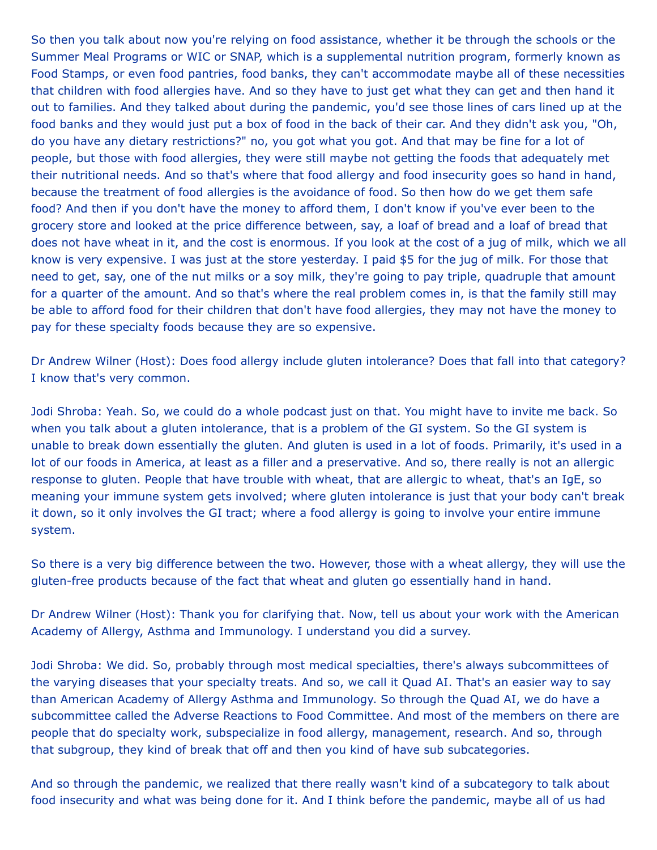So then you talk about now you're relying on food assistance, whether it be through the schools or the Summer Meal Programs or WIC or SNAP, which is a supplemental nutrition program, formerly known as Food Stamps, or even food pantries, food banks, they can't accommodate maybe all of these necessities that children with food allergies have. And so they have to just get what they can get and then hand it out to families. And they talked about during the pandemic, you'd see those lines of cars lined up at the food banks and they would just put a box of food in the back of their car. And they didn't ask you, "Oh, do you have any dietary restrictions?" no, you got what you got. And that may be fine for a lot of people, but those with food allergies, they were still maybe not getting the foods that adequately met their nutritional needs. And so that's where that food allergy and food insecurity goes so hand in hand, because the treatment of food allergies is the avoidance of food. So then how do we get them safe food? And then if you don't have the money to afford them, I don't know if you've ever been to the grocery store and looked at the price difference between, say, a loaf of bread and a loaf of bread that does not have wheat in it, and the cost is enormous. If you look at the cost of a jug of milk, which we all know is very expensive. I was just at the store yesterday. I paid \$5 for the jug of milk. For those that need to get, say, one of the nut milks or a soy milk, they're going to pay triple, quadruple that amount for a quarter of the amount. And so that's where the real problem comes in, is that the family still may be able to afford food for their children that don't have food allergies, they may not have the money to pay for these specialty foods because they are so expensive.

Dr Andrew Wilner (Host): Does food allergy include gluten intolerance? Does that fall into that category? I know that's very common.

Jodi Shroba: Yeah. So, we could do a whole podcast just on that. You might have to invite me back. So when you talk about a gluten intolerance, that is a problem of the GI system. So the GI system is unable to break down essentially the gluten. And gluten is used in a lot of foods. Primarily, it's used in a lot of our foods in America, at least as a filler and a preservative. And so, there really is not an allergic response to gluten. People that have trouble with wheat, that are allergic to wheat, that's an IgE, so meaning your immune system gets involved; where gluten intolerance is just that your body can't break it down, so it only involves the GI tract; where a food allergy is going to involve your entire immune system.

So there is a very big difference between the two. However, those with a wheat allergy, they will use the gluten-free products because of the fact that wheat and gluten go essentially hand in hand.

Dr Andrew Wilner (Host): Thank you for clarifying that. Now, tell us about your work with the American Academy of Allergy, Asthma and Immunology. I understand you did a survey.

Jodi Shroba: We did. So, probably through most medical specialties, there's always subcommittees of the varying diseases that your specialty treats. And so, we call it Quad AI. That's an easier way to say than American Academy of Allergy Asthma and Immunology. So through the Quad AI, we do have a subcommittee called the Adverse Reactions to Food Committee. And most of the members on there are people that do specialty work, subspecialize in food allergy, management, research. And so, through that subgroup, they kind of break that off and then you kind of have sub subcategories.

And so through the pandemic, we realized that there really wasn't kind of a subcategory to talk about food insecurity and what was being done for it. And I think before the pandemic, maybe all of us had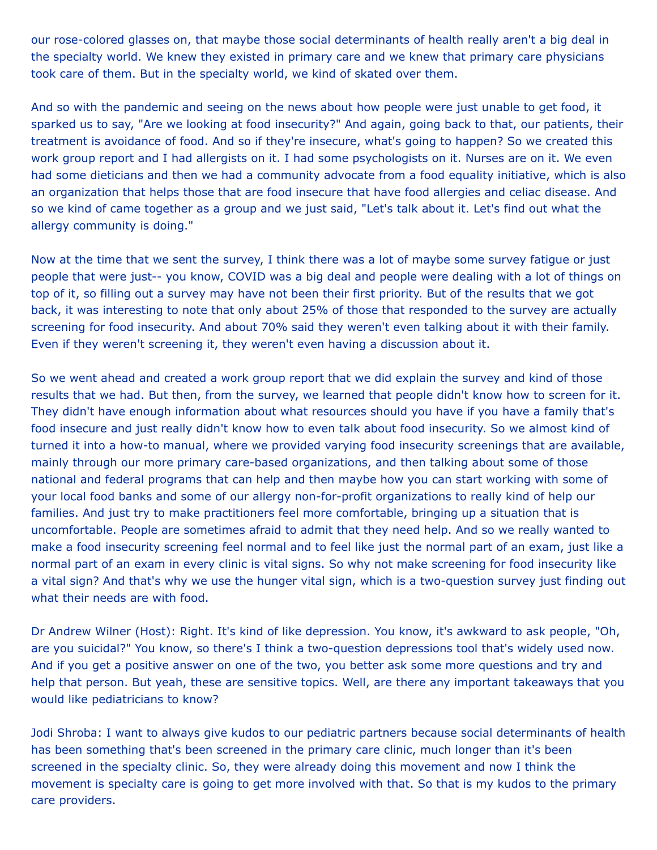our rose-colored glasses on, that maybe those social determinants of health really aren't a big deal in the specialty world. We knew they existed in primary care and we knew that primary care physicians took care of them. But in the specialty world, we kind of skated over them.

And so with the pandemic and seeing on the news about how people were just unable to get food, it sparked us to say, "Are we looking at food insecurity?" And again, going back to that, our patients, their treatment is avoidance of food. And so if they're insecure, what's going to happen? So we created this work group report and I had allergists on it. I had some psychologists on it. Nurses are on it. We even had some dieticians and then we had a community advocate from a food equality initiative, which is also an organization that helps those that are food insecure that have food allergies and celiac disease. And so we kind of came together as a group and we just said, "Let's talk about it. Let's find out what the allergy community is doing."

Now at the time that we sent the survey, I think there was a lot of maybe some survey fatigue or just people that were just-- you know, COVID was a big deal and people were dealing with a lot of things on top of it, so filling out a survey may have not been their first priority. But of the results that we got back, it was interesting to note that only about 25% of those that responded to the survey are actually screening for food insecurity. And about 70% said they weren't even talking about it with their family. Even if they weren't screening it, they weren't even having a discussion about it.

So we went ahead and created a work group report that we did explain the survey and kind of those results that we had. But then, from the survey, we learned that people didn't know how to screen for it. They didn't have enough information about what resources should you have if you have a family that's food insecure and just really didn't know how to even talk about food insecurity. So we almost kind of turned it into a how-to manual, where we provided varying food insecurity screenings that are available, mainly through our more primary care-based organizations, and then talking about some of those national and federal programs that can help and then maybe how you can start working with some of your local food banks and some of our allergy non-for-profit organizations to really kind of help our families. And just try to make practitioners feel more comfortable, bringing up a situation that is uncomfortable. People are sometimes afraid to admit that they need help. And so we really wanted to make a food insecurity screening feel normal and to feel like just the normal part of an exam, just like a normal part of an exam in every clinic is vital signs. So why not make screening for food insecurity like a vital sign? And that's why we use the hunger vital sign, which is a two-question survey just finding out what their needs are with food.

Dr Andrew Wilner (Host): Right. It's kind of like depression. You know, it's awkward to ask people, "Oh, are you suicidal?" You know, so there's I think a two-question depressions tool that's widely used now. And if you get a positive answer on one of the two, you better ask some more questions and try and help that person. But yeah, these are sensitive topics. Well, are there any important takeaways that you would like pediatricians to know?

Jodi Shroba: I want to always give kudos to our pediatric partners because social determinants of health has been something that's been screened in the primary care clinic, much longer than it's been screened in the specialty clinic. So, they were already doing this movement and now I think the movement is specialty care is going to get more involved with that. So that is my kudos to the primary care providers.